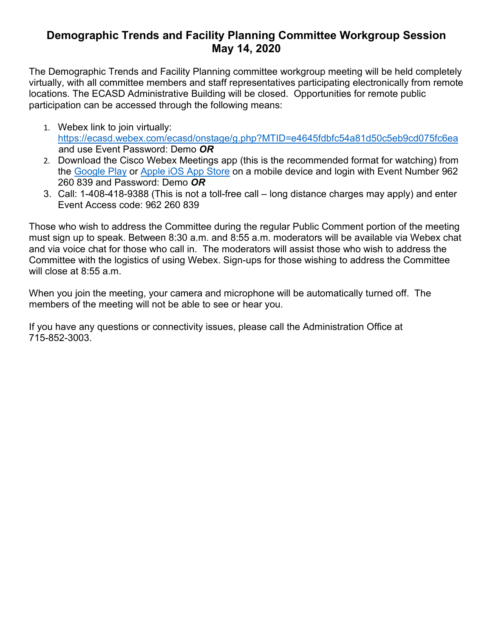# **Demographic Trends and Facility Planning Committee Workgroup Session May 14, 2020**

The Demographic Trends and Facility Planning committee workgroup meeting will be held completely virtually, with all committee members and staff representatives participating electronically from remote locations. The ECASD Administrative Building will be closed. Opportunities for remote public participation can be accessed through the following means:

- 1. Webex link to join virtually: <https://ecasd.webex.com/ecasd/onstage/g.php?MTID=e4645fdbfc54a81d50c5eb9cd075fc6ea> and use Event Password: Demo *OR*
- 2. Download the Cisco Webex Meetings app (this is the recommended format for watching) from the [Google Play](https://play.google.com/store/apps/details?id=com.cisco.webex.meetings) or [Apple iOS App Store](https://itunes.apple.com/us/app/cisco-webex-meetings/id298844386) on a mobile device and login with Event Number 962 260 839 and Password: Demo *OR*
- 3. Call: 1-408-418-9388 (This is not a toll-free call long distance charges may apply) and enter Event Access code: 962 260 839

Those who wish to address the Committee during the regular Public Comment portion of the meeting must sign up to speak. Between 8:30 a.m. and 8:55 a.m. moderators will be available via Webex chat and via voice chat for those who call in. The moderators will assist those who wish to address the Committee with the logistics of using Webex. Sign-ups for those wishing to address the Committee will close at 8:55 a.m.

When you join the meeting, your camera and microphone will be automatically turned off. The members of the meeting will not be able to see or hear you.

If you have any questions or connectivity issues, please call the Administration Office at 715-852-3003.